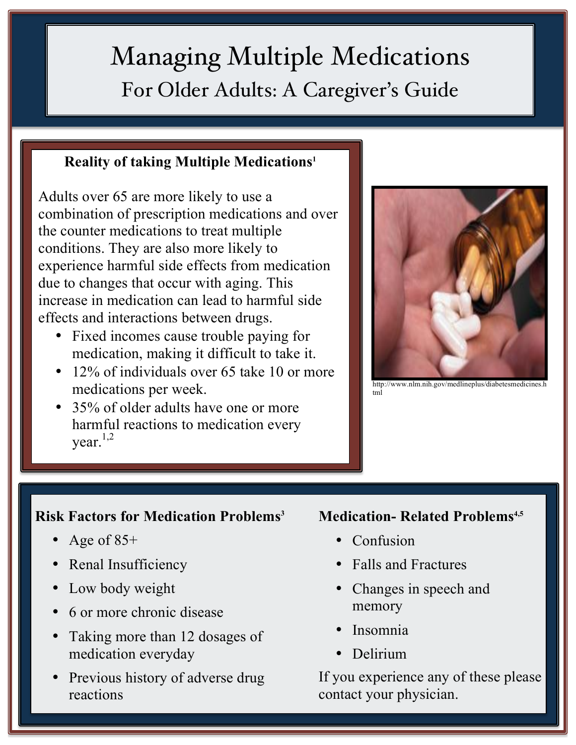# Managing Multiple Medications For Older Adults: A Caregiver's Guide

### **Reality of taking Multiple Medications1**

Adults over 65 are more likely to use a combination of prescription medications and over the counter medications to treat multiple conditions. They are also more likely to experience harmful side effects from medication due to changes that occur with aging. This increase in medication can lead to harmful side effects and interactions between drugs.

- Fixed incomes cause trouble paying for medication, making it difficult to take it.
- 12% of individuals over 65 take 10 or more medications per week.
- 35% of older adults have one or more harmful reactions to medication every vear. $1,2$



http://www.nlm.nih.gov/medlineplus/diabetesmedicines.http://www.nlm.nih.gov/medlineplus/diabetesmedicines.h tml

## **Risk Factors for Medication Problems3**

- Age of  $85+$
- Renal Insufficiency
- Low body weight
- 6 or more chronic disease
- Taking more than 12 dosages of medication everyday
- Previous history of adverse drug reactions

#### **Medication- Related Problems**<sup>4,5</sup>

- **Confusion**
- Falls and Fractures
- Changes in speech and memory
- Insomnia
- Delirium

If you experience any of these please contact your physician.